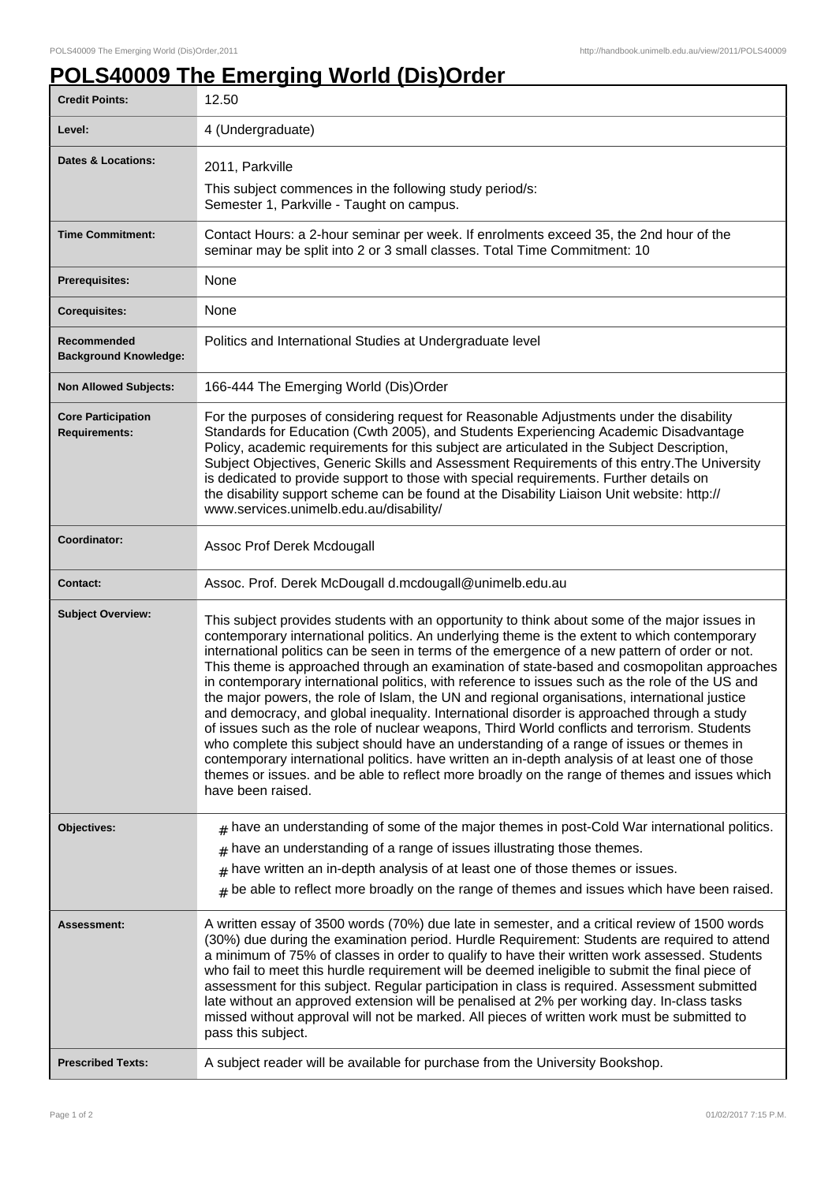## **POLS40009 The Emerging World (Dis)Order**

| <b>Credit Points:</b>                             | 12.50                                                                                                                                                                                                                                                                                                                                                                                                                                                                                                                                                                                                                                                                                                                                                                                                                                                                                                                                                                                                                                                                                                                |
|---------------------------------------------------|----------------------------------------------------------------------------------------------------------------------------------------------------------------------------------------------------------------------------------------------------------------------------------------------------------------------------------------------------------------------------------------------------------------------------------------------------------------------------------------------------------------------------------------------------------------------------------------------------------------------------------------------------------------------------------------------------------------------------------------------------------------------------------------------------------------------------------------------------------------------------------------------------------------------------------------------------------------------------------------------------------------------------------------------------------------------------------------------------------------------|
| Level:                                            | 4 (Undergraduate)                                                                                                                                                                                                                                                                                                                                                                                                                                                                                                                                                                                                                                                                                                                                                                                                                                                                                                                                                                                                                                                                                                    |
| <b>Dates &amp; Locations:</b>                     | 2011, Parkville                                                                                                                                                                                                                                                                                                                                                                                                                                                                                                                                                                                                                                                                                                                                                                                                                                                                                                                                                                                                                                                                                                      |
|                                                   | This subject commences in the following study period/s:<br>Semester 1, Parkville - Taught on campus.                                                                                                                                                                                                                                                                                                                                                                                                                                                                                                                                                                                                                                                                                                                                                                                                                                                                                                                                                                                                                 |
| <b>Time Commitment:</b>                           | Contact Hours: a 2-hour seminar per week. If enrolments exceed 35, the 2nd hour of the<br>seminar may be split into 2 or 3 small classes. Total Time Commitment: 10                                                                                                                                                                                                                                                                                                                                                                                                                                                                                                                                                                                                                                                                                                                                                                                                                                                                                                                                                  |
| Prerequisites:                                    | None                                                                                                                                                                                                                                                                                                                                                                                                                                                                                                                                                                                                                                                                                                                                                                                                                                                                                                                                                                                                                                                                                                                 |
| <b>Corequisites:</b>                              | None                                                                                                                                                                                                                                                                                                                                                                                                                                                                                                                                                                                                                                                                                                                                                                                                                                                                                                                                                                                                                                                                                                                 |
| Recommended<br><b>Background Knowledge:</b>       | Politics and International Studies at Undergraduate level                                                                                                                                                                                                                                                                                                                                                                                                                                                                                                                                                                                                                                                                                                                                                                                                                                                                                                                                                                                                                                                            |
| <b>Non Allowed Subjects:</b>                      | 166-444 The Emerging World (Dis)Order                                                                                                                                                                                                                                                                                                                                                                                                                                                                                                                                                                                                                                                                                                                                                                                                                                                                                                                                                                                                                                                                                |
| <b>Core Participation</b><br><b>Requirements:</b> | For the purposes of considering request for Reasonable Adjustments under the disability<br>Standards for Education (Cwth 2005), and Students Experiencing Academic Disadvantage<br>Policy, academic requirements for this subject are articulated in the Subject Description,<br>Subject Objectives, Generic Skills and Assessment Requirements of this entry. The University<br>is dedicated to provide support to those with special requirements. Further details on<br>the disability support scheme can be found at the Disability Liaison Unit website: http://<br>www.services.unimelb.edu.au/disability/                                                                                                                                                                                                                                                                                                                                                                                                                                                                                                     |
| Coordinator:                                      | Assoc Prof Derek Mcdougall                                                                                                                                                                                                                                                                                                                                                                                                                                                                                                                                                                                                                                                                                                                                                                                                                                                                                                                                                                                                                                                                                           |
| <b>Contact:</b>                                   | Assoc. Prof. Derek McDougall d.mcdougall@unimelb.edu.au                                                                                                                                                                                                                                                                                                                                                                                                                                                                                                                                                                                                                                                                                                                                                                                                                                                                                                                                                                                                                                                              |
| <b>Subject Overview:</b>                          | This subject provides students with an opportunity to think about some of the major issues in<br>contemporary international politics. An underlying theme is the extent to which contemporary<br>international politics can be seen in terms of the emergence of a new pattern of order or not.<br>This theme is approached through an examination of state-based and cosmopolitan approaches<br>in contemporary international politics, with reference to issues such as the role of the US and<br>the major powers, the role of Islam, the UN and regional organisations, international justice<br>and democracy, and global inequality. International disorder is approached through a study<br>of issues such as the role of nuclear weapons, Third World conflicts and terrorism. Students<br>who complete this subject should have an understanding of a range of issues or themes in<br>contemporary international politics. have written an in-depth analysis of at least one of those<br>themes or issues. and be able to reflect more broadly on the range of themes and issues which<br>have been raised. |
| <b>Objectives:</b>                                | $#$ have an understanding of some of the major themes in post-Cold War international politics.                                                                                                                                                                                                                                                                                                                                                                                                                                                                                                                                                                                                                                                                                                                                                                                                                                                                                                                                                                                                                       |
|                                                   | have an understanding of a range of issues illustrating those themes.                                                                                                                                                                                                                                                                                                                                                                                                                                                                                                                                                                                                                                                                                                                                                                                                                                                                                                                                                                                                                                                |
|                                                   | have written an in-depth analysis of at least one of those themes or issues.<br>$\pm$                                                                                                                                                                                                                                                                                                                                                                                                                                                                                                                                                                                                                                                                                                                                                                                                                                                                                                                                                                                                                                |
|                                                   | be able to reflect more broadly on the range of themes and issues which have been raised.<br>#                                                                                                                                                                                                                                                                                                                                                                                                                                                                                                                                                                                                                                                                                                                                                                                                                                                                                                                                                                                                                       |
| <b>Assessment:</b>                                | A written essay of 3500 words (70%) due late in semester, and a critical review of 1500 words<br>(30%) due during the examination period. Hurdle Requirement: Students are required to attend<br>a minimum of 75% of classes in order to qualify to have their written work assessed. Students<br>who fail to meet this hurdle requirement will be deemed ineligible to submit the final piece of<br>assessment for this subject. Regular participation in class is required. Assessment submitted<br>late without an approved extension will be penalised at 2% per working day. In-class tasks<br>missed without approval will not be marked. All pieces of written work must be submitted to<br>pass this subject.                                                                                                                                                                                                                                                                                                                                                                                                |
| <b>Prescribed Texts:</b>                          | A subject reader will be available for purchase from the University Bookshop.                                                                                                                                                                                                                                                                                                                                                                                                                                                                                                                                                                                                                                                                                                                                                                                                                                                                                                                                                                                                                                        |